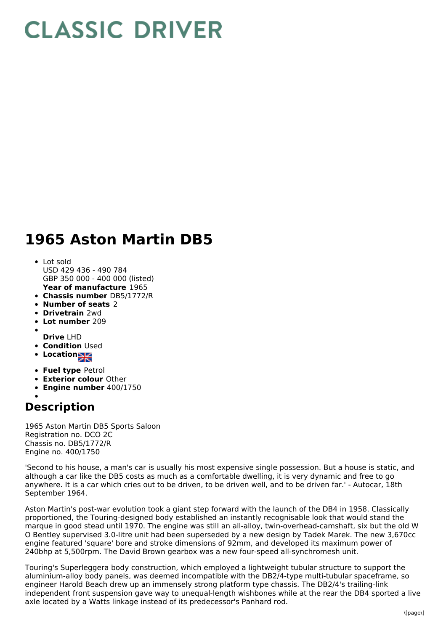## **CLASSIC DRIVER**

## **1965 Aston Martin DB5**

- **Year of manufacture** 1965 Lot sold USD 429 436 - 490 784 GBP 350 000 - 400 000 (listed)
- **Chassis number** DB5/1772/R
- **Number of seats** 2
- **Drivetrain** 2wd
- **Lot number** 209
- **Drive** LHD
- **Condition Used**
- 
- **Location**
- **Fuel type** Petrol
- **Exterior colour** Other
- **Engine number** 400/1750

## **Description**

1965 Aston Martin DB5 Sports Saloon Registration no. DCO 2C Chassis no. DB5/1772/R Engine no. 400/1750

'Second to his house, a man's car is usually his most expensive single possession. But a house is static, and although a car like the DB5 costs as much as a comfortable dwelling, it is very dynamic and free to go anywhere. It is a car which cries out to be driven, to be driven well, and to be driven far.' - Autocar, 18th September 1964.

Aston Martin's post-war evolution took a giant step forward with the launch of the DB4 in 1958. Classically proportioned, the Touring-designed body established an instantly recognisable look that would stand the marque in good stead until 1970. The engine was still an all-alloy, twin-overhead-camshaft, six but the old W O Bentley supervised 3.0-litre unit had been superseded by a new design by Tadek Marek. The new 3,670cc engine featured 'square' bore and stroke dimensions of 92mm, and developed its maximum power of 240bhp at 5,500rpm. The David Brown gearbox was a new four-speed all-synchromesh unit.

Touring's Superleggera body construction, which employed a lightweight tubular structure to support the aluminium-alloy body panels, was deemed incompatible with the DB2/4-type multi-tubular spaceframe, so engineer Harold Beach drew up an immensely strong platform type chassis. The DB2/4's trailing-link independent front suspension gave way to unequal-length wishbones while at the rear the DB4 sported a live axle located by a Watts linkage instead of its predecessor's Panhard rod.